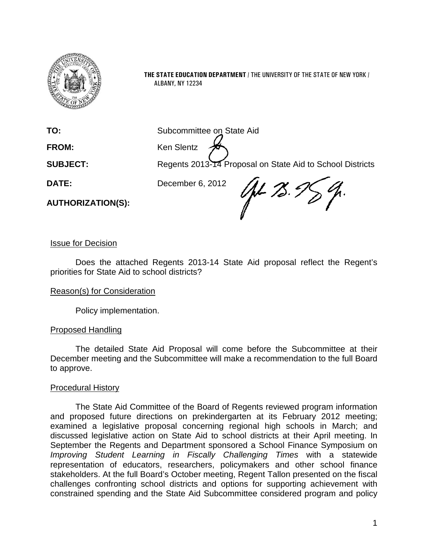

**THE STATE EDUCATION DEPARTMENT** / THE UNIVERSITY OF THE STATE OF NEW YORK / ALBANY, NY 12234

**TO:** Subcommittee on State Aid

FROM: Ken Slentz

**SUBJECT:** Regents 2013-14 Proposal on State Aid to School Districts

**DATE:** December 6, 2012

**AUTHORIZATION(S):**

Up-78. I

Issue for Decision

Does the attached Regents 2013-14 State Aid proposal reflect the Regent's priorities for State Aid to school districts?

#### Reason(s) for Consideration

Policy implementation.

#### Proposed Handling

The detailed State Aid Proposal will come before the Subcommittee at their December meeting and the Subcommittee will make a recommendation to the full Board to approve.

#### Procedural History

The State Aid Committee of the Board of Regents reviewed program information and proposed future directions on prekindergarten at its February 2012 meeting; examined a legislative proposal concerning regional high schools in March; and discussed legislative action on State Aid to school districts at their April meeting. In September the Regents and Department sponsored a School Finance Symposium on *Improving Student Learning in Fiscally Challenging Times* with a statewide representation of educators, researchers, policymakers and other school finance stakeholders. At the full Board's October meeting, Regent Tallon presented on the fiscal challenges confronting school districts and options for supporting achievement with constrained spending and the State Aid Subcommittee considered program and policy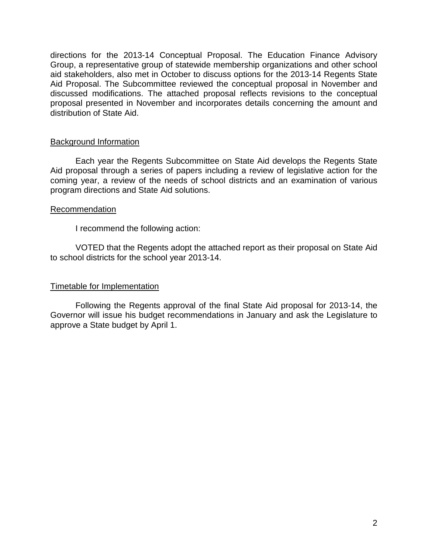directions for the 2013-14 Conceptual Proposal. The Education Finance Advisory Group, a representative group of statewide membership organizations and other school aid stakeholders, also met in October to discuss options for the 2013-14 Regents State Aid Proposal. The Subcommittee reviewed the conceptual proposal in November and discussed modifications. The attached proposal reflects revisions to the conceptual proposal presented in November and incorporates details concerning the amount and distribution of State Aid.

#### Background Information

Each year the Regents Subcommittee on State Aid develops the Regents State Aid proposal through a series of papers including a review of legislative action for the coming year, a review of the needs of school districts and an examination of various program directions and State Aid solutions.

#### Recommendation

I recommend the following action:

VOTED that the Regents adopt the attached report as their proposal on State Aid to school districts for the school year 2013-14.

#### Timetable for Implementation

Following the Regents approval of the final State Aid proposal for 2013-14, the Governor will issue his budget recommendations in January and ask the Legislature to approve a State budget by April 1.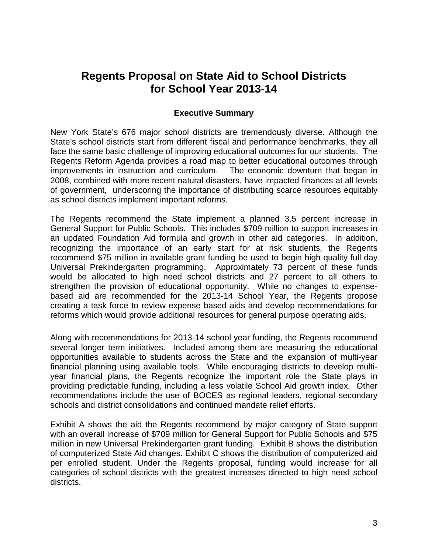## **Regents Proposal on State Aid to School Districts for School Year 2013-14**

#### **Executive Summary**

New York State's 676 major school districts are tremendously diverse. Although the State's school districts start from different fiscal and performance benchmarks, they all face the same basic challenge of improving educational outcomes for our students. The Regents Reform Agenda provides a road map to better educational outcomes through improvements in instruction and curriculum. The economic downturn that began in 2008, combined with more recent natural disasters, have impacted finances at all levels of government, underscoring the importance of distributing scarce resources equitably as school districts implement important reforms.

The Regents recommend the State implement a planned 3.5 percent increase in General Support for Public Schools. This includes \$709 million to support increases in an updated Foundation Aid formula and growth in other aid categories. In addition, recognizing the importance of an early start for at risk students, the Regents recommend \$75 million in available grant funding be used to begin high quality full day Universal Prekindergarten programming. Approximately 73 percent of these funds would be allocated to high need school districts and 27 percent to all others to strengthen the provision of educational opportunity. While no changes to expensebased aid are recommended for the 2013-14 School Year, the Regents propose creating a task force to review expense based aids and develop recommendations for reforms which would provide additional resources for general purpose operating aids.

Along with recommendations for 2013-14 school year funding, the Regents recommend several longer term initiatives. Included among them are measuring the educational opportunities available to students across the State and the expansion of multi-year financial planning using available tools. While encouraging districts to develop multiyear financial plans, the Regents recognize the important role the State plays in providing predictable funding, including a less volatile School Aid growth index. Other recommendations include the use of BOCES as regional leaders, regional secondary schools and district consolidations and continued mandate relief efforts.

Exhibit A shows the aid the Regents recommend by major category of State support with an overall increase of \$709 million for General Support for Public Schools and \$75 million in new Universal Prekindergarten grant funding. Exhibit B shows the distribution of computerized State Aid changes. Exhibit C shows the distribution of computerized aid per enrolled student. Under the Regents proposal, funding would increase for all categories of school districts with the greatest increases directed to high need school districts.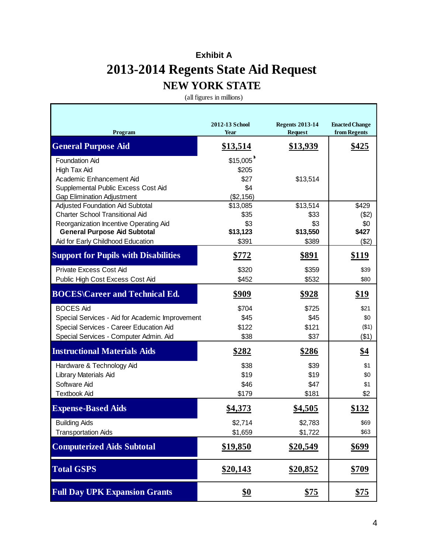# **Exhibit A 2013-2014 Regents State Aid Request NEW YORK STATE**

(all figures in millions)

| Program                                         | 2012-13 School<br>Year | <b>Regents 2013-14</b><br><b>Request</b> | <b>Enacted Change</b><br>from Regents |
|-------------------------------------------------|------------------------|------------------------------------------|---------------------------------------|
| <b>General Purpose Aid</b>                      | \$13,514               | \$13,939                                 | <u>\$425</u>                          |
| <b>Foundation Aid</b>                           | \$15,005               |                                          |                                       |
| High Tax Aid                                    | \$205                  |                                          |                                       |
| Academic Enhancement Aid                        | \$27                   | \$13,514                                 |                                       |
| Supplemental Public Excess Cost Aid             | \$4                    |                                          |                                       |
| <b>Gap Elimination Adjustment</b>               | (\$2,156)              |                                          |                                       |
| Adjusted Foundation Aid Subtotal                | \$13,085               | \$13,514                                 | \$429                                 |
| <b>Charter School Transitional Aid</b>          | \$35                   | \$33                                     | (\$2)                                 |
| Reorganization Incentive Operating Aid          | \$3                    | \$3                                      | \$0                                   |
| <b>General Purpose Aid Subtotal</b>             | \$13,123               | \$13,550                                 | \$427                                 |
| Aid for Early Childhood Education               | \$391                  | \$389                                    | ( \$2)                                |
| <b>Support for Pupils with Disabilities</b>     | <u>\$772</u>           | <u>\$891</u>                             | <u>\$119</u>                          |
| <b>Private Excess Cost Aid</b>                  | \$320                  | \$359                                    | \$39                                  |
| Public High Cost Excess Cost Aid                | \$452                  | \$532                                    | \$80                                  |
| <b>BOCES</b> \Career and Technical Ed.          | <u>\$909</u>           | <u>\$928</u>                             | \$19                                  |
| <b>BOCES Aid</b>                                | \$704                  | \$725                                    | \$21                                  |
| Special Services - Aid for Academic Improvement | \$45                   | \$45                                     | \$0                                   |
| Special Services - Career Education Aid         | \$122                  | \$121                                    | ( \$1)                                |
| Special Services - Computer Admin. Aid          | \$38                   | \$37                                     | ( \$1)                                |
| <b>Instructional Materials Aids</b>             | <u>\$282</u>           | <u>\$286</u>                             | <u>\$4</u>                            |
| Hardware & Technology Aid                       | \$38                   | \$39                                     | \$1                                   |
| Library Materials Aid                           | \$19                   | \$19                                     | \$0                                   |
| Software Aid                                    | \$46                   | \$47                                     | \$1                                   |
| <b>Textbook Aid</b>                             | \$179                  | \$181                                    | \$2                                   |
| <b>Expense-Based Aids</b>                       | \$4,373                | \$4,505                                  | \$132                                 |
| <b>Building Aids</b>                            | \$2,714                | \$2,783                                  | \$69                                  |
| <b>Transportation Aids</b>                      | \$1,659                | \$1,722                                  | \$63                                  |
| <b>Computerized Aids Subtotal</b>               | \$19,850               | <u>\$20,549</u>                          | \$699                                 |
| <b>Total GSPS</b>                               | <u>\$20,143</u>        | \$20,852                                 | <u>\$709</u>                          |
| <b>Full Day UPK Expansion Grants</b>            | <u>\$0</u>             | <u>\$75</u>                              | <u>\$75</u>                           |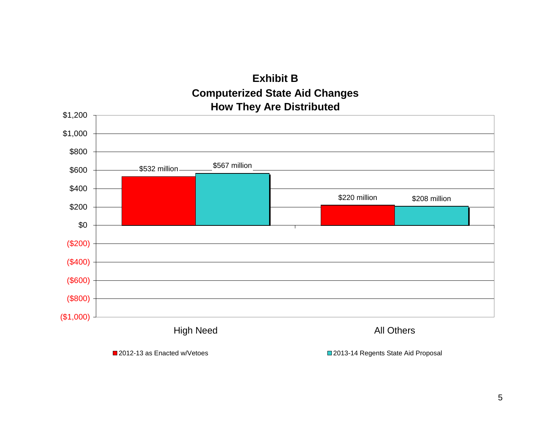# **Exhibit B Computerized State Aid Changes How They Are Distributed**



■ 2012-13 as Enacted w/Vetoes 2013-14 Regents State Aid Proposal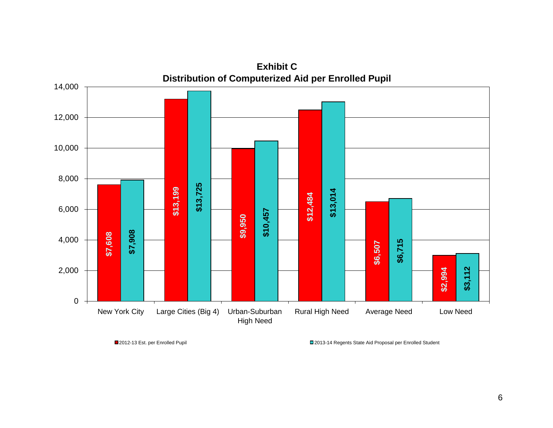

**Exhibit C**

■2012-13 Est. per Enrolled Pupil 2013-14 Regents State Aid Proposal per Enrolled Student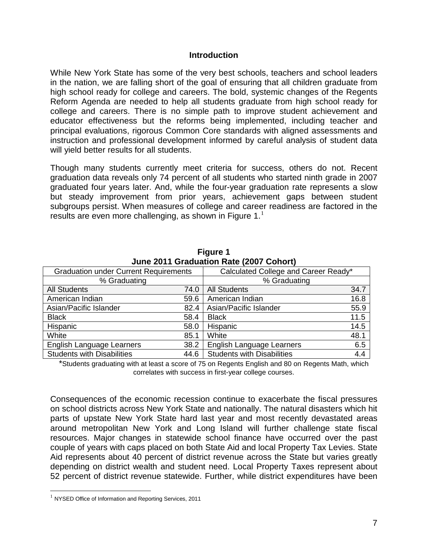#### **Introduction**

While New York State has some of the very best schools, teachers and school leaders in the nation, we are falling short of the goal of ensuring that all children graduate from high school ready for college and careers. The bold, systemic changes of the Regents Reform Agenda are needed to help all students graduate from high school ready for college and careers. There is no simple path to improve student achievement and educator effectiveness but the reforms being implemented, including teacher and principal evaluations, rigorous Common Core standards with aligned assessments and instruction and professional development informed by careful analysis of student data will yield better results for all students.

Though many students currently meet criteria for success, others do not. Recent graduation data reveals only 74 percent of all students who started ninth grade in 2007 graduated four years later. And, while the four-year graduation rate represents a slow but steady improvement from prior years, achievement gaps between student subgroups persist. When measures of college and career readiness are factored in the results are even more challenging, as shown in Figure  $1<sup>1</sup>$  $1<sup>1</sup>$ 

| <b>Julie 2011 Graduation Rate (2007 Conort)</b> |      |                                      |      |  |  |  |
|-------------------------------------------------|------|--------------------------------------|------|--|--|--|
| <b>Graduation under Current Requirements</b>    |      | Calculated College and Career Ready* |      |  |  |  |
| % Graduating                                    |      | % Graduating                         |      |  |  |  |
| <b>All Students</b>                             | 74.0 | <b>All Students</b>                  | 34.7 |  |  |  |
| American Indian                                 | 59.6 | American Indian                      | 16.8 |  |  |  |
| Asian/Pacific Islander                          | 82.4 | Asian/Pacific Islander               | 55.9 |  |  |  |
| <b>Black</b>                                    | 58.4 | <b>Black</b>                         | 11.5 |  |  |  |
| Hispanic                                        | 58.0 | Hispanic                             | 14.5 |  |  |  |
| White                                           | 85.1 | White                                | 48.1 |  |  |  |
| English Language Learners                       | 38.2 | English Language Learners            | 6.5  |  |  |  |
| <b>Students with Disabilities</b>               | 44.6 | <b>Students with Disabilities</b>    | 4.4  |  |  |  |
|                                                 |      |                                      |      |  |  |  |

**Figure 1 June 2011 Graduation Rate (2007 Cohort)**

\*Students graduating with at least a score of 75 on Regents English and 80 on Regents Math, which correlates with success in first-year college courses.

Consequences of the economic recession continue to exacerbate the fiscal pressures on school districts across New York State and nationally. The natural disasters which hit parts of upstate New York State hard last year and most recently devastated areas around metropolitan New York and Long Island will further challenge state fiscal resources. Major changes in statewide school finance have occurred over the past couple of years with caps placed on both State Aid and local Property Tax Levies. State Aid represents about 40 percent of district revenue across the State but varies greatly depending on district wealth and student need. Local Property Taxes represent about 52 percent of district revenue statewide. Further, while district expenditures have been

<span id="page-6-0"></span><sup>&</sup>lt;sup>1</sup> NYSED Office of Information and Reporting Services, 2011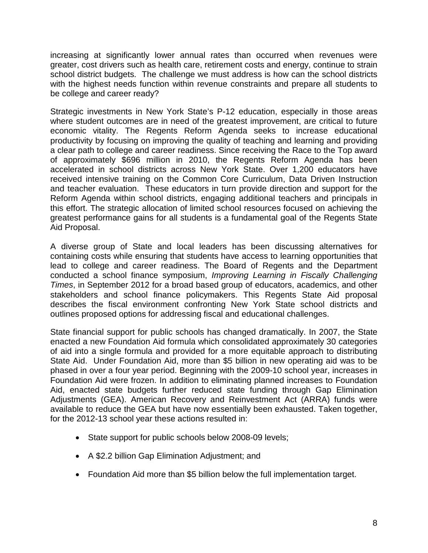increasing at significantly lower annual rates than occurred when revenues were greater, cost drivers such as health care, retirement costs and energy, continue to strain school district budgets. The challenge we must address is how can the school districts with the highest needs function within revenue constraints and prepare all students to be college and career ready?

Strategic investments in New York State's P-12 education, especially in those areas where student outcomes are in need of the greatest improvement, are critical to future economic vitality. The Regents Reform Agenda seeks to increase educational productivity by focusing on improving the quality of teaching and learning and providing a clear path to college and career readiness. Since receiving the Race to the Top award of approximately \$696 million in 2010, the Regents Reform Agenda has been accelerated in school districts across New York State. Over 1,200 educators have received intensive training on the Common Core Curriculum, Data Driven Instruction and teacher evaluation. These educators in turn provide direction and support for the Reform Agenda within school districts, engaging additional teachers and principals in this effort. The strategic allocation of limited school resources focused on achieving the greatest performance gains for all students is a fundamental goal of the Regents State Aid Proposal.

A diverse group of State and local leaders has been discussing alternatives for containing costs while ensuring that students have access to learning opportunities that lead to college and career readiness. The Board of Regents and the Department conducted a school finance symposium, *Improving Learning in Fiscally Challenging Times*, in September 2012 for a broad based group of educators, academics, and other stakeholders and school finance policymakers. This Regents State Aid proposal describes the fiscal environment confronting New York State school districts and outlines proposed options for addressing fiscal and educational challenges.

State financial support for public schools has changed dramatically. In 2007, the State enacted a new Foundation Aid formula which consolidated approximately 30 categories of aid into a single formula and provided for a more equitable approach to distributing State Aid. Under Foundation Aid, more than \$5 billion in new operating aid was to be phased in over a four year period. Beginning with the 2009-10 school year, increases in Foundation Aid were frozen. In addition to eliminating planned increases to Foundation Aid, enacted state budgets further reduced state funding through Gap Elimination Adjustments (GEA). American Recovery and Reinvestment Act (ARRA) funds were available to reduce the GEA but have now essentially been exhausted. Taken together, for the 2012-13 school year these actions resulted in:

- State support for public schools below 2008-09 levels;
- A \$2.2 billion Gap Elimination Adjustment; and
- Foundation Aid more than \$5 billion below the full implementation target.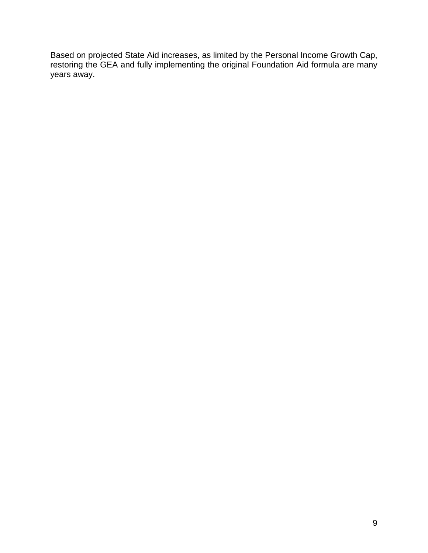Based on projected State Aid increases, as limited by the Personal Income Growth Cap, restoring the GEA and fully implementing the original Foundation Aid formula are many years away.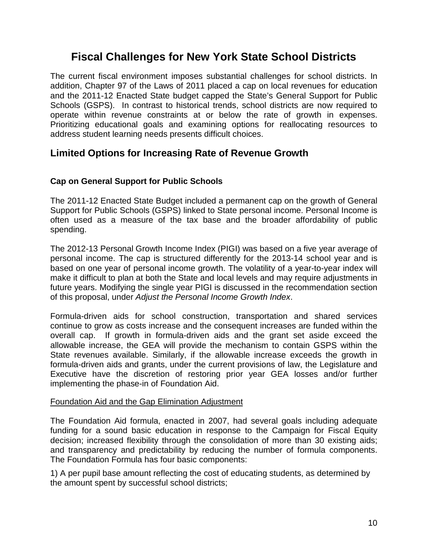# **Fiscal Challenges for New York State School Districts**

The current fiscal environment imposes substantial challenges for school districts. In addition, Chapter 97 of the Laws of 2011 placed a cap on local revenues for education and the 2011-12 Enacted State budget capped the State's General Support for Public Schools (GSPS). In contrast to historical trends, school districts are now required to operate within revenue constraints at or below the rate of growth in expenses. Prioritizing educational goals and examining options for reallocating resources to address student learning needs presents difficult choices.

## **Limited Options for Increasing Rate of Revenue Growth**

### **Cap on General Support for Public Schools**

The 2011-12 Enacted State Budget included a permanent cap on the growth of General Support for Public Schools (GSPS) linked to State personal income. Personal Income is often used as a measure of the tax base and the broader affordability of public spending.

The 2012-13 Personal Growth Income Index (PIGI) was based on a five year average of personal income. The cap is structured differently for the 2013-14 school year and is based on one year of personal income growth. The volatility of a year-to-year index will make it difficult to plan at both the State and local levels and may require adjustments in future years. Modifying the single year PIGI is discussed in the recommendation section of this proposal, under *Adjust the Personal Income Growth Index*.

Formula-driven aids for school construction, transportation and shared services continue to grow as costs increase and the consequent increases are funded within the overall cap. If growth in formula-driven aids and the grant set aside exceed the allowable increase, the GEA will provide the mechanism to contain GSPS within the State revenues available. Similarly, if the allowable increase exceeds the growth in formula-driven aids and grants, under the current provisions of law, the Legislature and Executive have the discretion of restoring prior year GEA losses and/or further implementing the phase-in of Foundation Aid.

#### Foundation Aid and the Gap Elimination Adjustment

The Foundation Aid formula, enacted in 2007, had several goals including adequate funding for a sound basic education in response to the Campaign for Fiscal Equity decision; increased flexibility through the consolidation of more than 30 existing aids; and transparency and predictability by reducing the number of formula components. The Foundation Formula has four basic components:

1) A per pupil base amount reflecting the cost of educating students, as determined by the amount spent by successful school districts;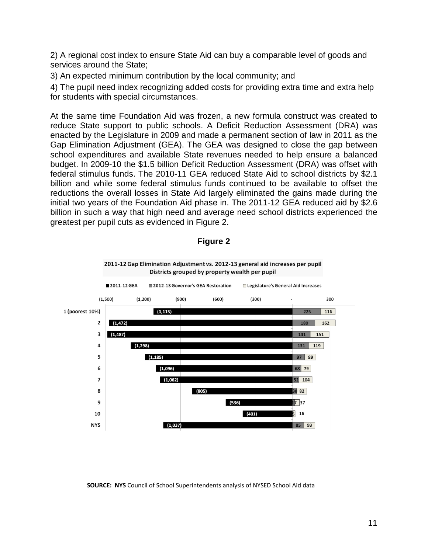2) A regional cost index to ensure State Aid can buy a comparable level of goods and services around the State;

3) An expected minimum contribution by the local community; and

4) The pupil need index recognizing added costs for providing extra time and extra help for students with special circumstances.

At the same time Foundation Aid was frozen, a new formula construct was created to reduce State support to public schools. A Deficit Reduction Assessment (DRA) was enacted by the Legislature in 2009 and made a permanent section of law in 2011 as the Gap Elimination Adjustment (GEA). The GEA was designed to close the gap between school expenditures and available State revenues needed to help ensure a balanced budget. In 2009-10 the \$1.5 billion Deficit Reduction Assessment (DRA) was offset with federal stimulus funds. The 2010-11 GEA reduced State Aid to school districts by \$2.1 billion and while some federal stimulus funds continued to be available to offset the reductions the overall losses in State Aid largely eliminated the gains made during the initial two years of the Foundation Aid phase in. The 2011-12 GEA reduced aid by \$2.6 billion in such a way that high need and average need school districts experienced the greatest per pupil cuts as evidenced in Figure 2.



**Figure 2**

**SOURCE: NYS** Council of School Superintendents analysis of NYSED School Aid data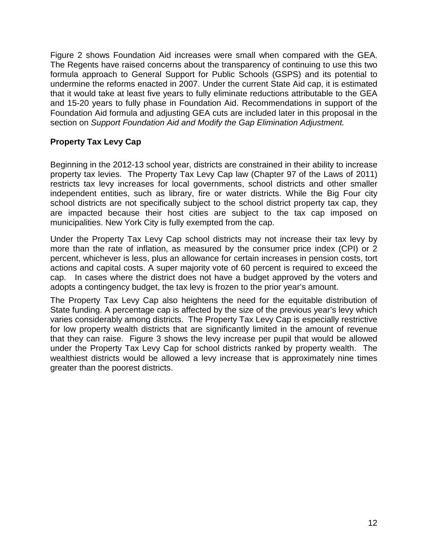Figure 2 shows Foundation Aid increases were small when compared with the GEA. The Regents have raised concerns about the transparency of continuing to use this two formula approach to General Support for Public Schools (GSPS) and its potential to undermine the reforms enacted in 2007. Under the current State Aid cap, it is estimated that it would take at least five years to fully eliminate reductions attributable to the GEA and 15-20 years to fully phase in Foundation Aid. Recommendations in support of the Foundation Aid formula and adjusting GEA cuts are included later in this proposal in the section on *Support Foundation Aid and Modify the Gap Elimination Adjustment.* 

## **Property Tax Levy Cap**

Beginning in the 2012-13 school year, districts are constrained in their ability to increase property tax levies. The Property Tax Levy Cap law (Chapter 97 of the Laws of 2011) restricts tax levy increases for local governments, school districts and other smaller independent entities, such as library, fire or water districts. While the Big Four city school districts are not specifically subject to the school district property tax cap, they are impacted because their host cities are subject to the tax cap imposed on municipalities. New York City is fully exempted from the cap.

Under the Property Tax Levy Cap school districts may not increase their tax levy by more than the rate of inflation, as measured by the consumer price index (CPI) or 2 percent, whichever is less, plus an allowance for certain increases in pension costs, tort actions and capital costs. A super majority vote of 60 percent is required to exceed the cap. In cases where the district does not have a budget approved by the voters and adopts a contingency budget, the tax levy is frozen to the prior year's amount.

The Property Tax Levy Cap also heightens the need for the equitable distribution of State funding. A percentage cap is affected by the size of the previous year's levy which varies considerably among districts. The Property Tax Levy Cap is especially restrictive for low property wealth districts that are significantly limited in the amount of revenue that they can raise. Figure 3 shows the levy increase per pupil that would be allowed under the Property Tax Levy Cap for school districts ranked by property wealth. The wealthiest districts would be allowed a levy increase that is approximately nine times greater than the poorest districts.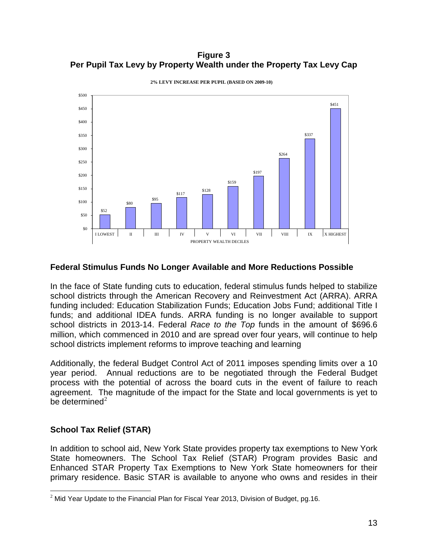**Figure 3 Per Pupil Tax Levy by Property Wealth under the Property Tax Levy Cap**



**2% LEVY INCREASE PER PUPIL (BASED ON 2009-10)**

#### **Federal Stimulus Funds No Longer Available and More Reductions Possible**

In the face of State funding cuts to education, federal stimulus funds helped to stabilize school districts through the American Recovery and Reinvestment Act (ARRA). ARRA funding included: Education Stabilization Funds; Education Jobs Fund; additional Title I funds; and additional IDEA funds. ARRA funding is no longer available to support school districts in 2013-14. Federal *Race to the Top* funds in the amount of \$696.6 million, which commenced in 2010 and are spread over four years, will continue to help school districts implement reforms to improve teaching and learning

Additionally, the federal Budget Control Act of 2011 imposes spending limits over a 10 year period. Annual reductions are to be negotiated through the Federal Budget process with the potential of across the board cuts in the event of failure to reach agreement. The magnitude of the impact for the State and local governments is yet to be determined $2$ 

#### **School Tax Relief (STAR)**

In addition to school aid, New York State provides property tax exemptions to New York State homeowners. The School Tax Relief (STAR) Program provides Basic and Enhanced STAR Property Tax Exemptions to New York State homeowners for their primary residence. Basic STAR is available to anyone who owns and resides in their

<span id="page-12-0"></span> $2$  Mid Year Update to the Financial Plan for Fiscal Year 2013, Division of Budget, pg.16.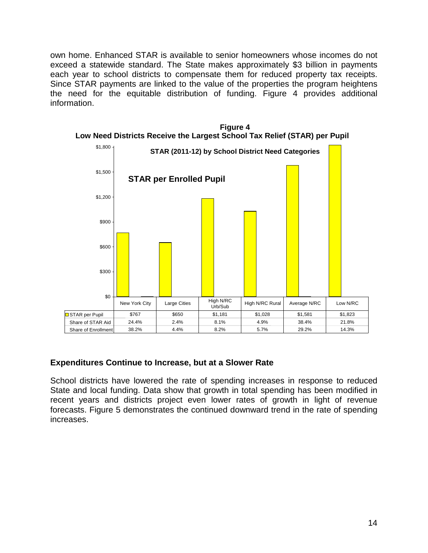own home. Enhanced STAR is available to senior homeowners whose incomes do not exceed a statewide standard. The State makes approximately \$3 billion in payments each year to school districts to compensate them for reduced property tax receipts. Since STAR payments are linked to the value of the properties the program heightens the need for the equitable distribution of funding. Figure 4 provides additional information.



**Figure 4 Low Need Districts Receive the Largest School Tax Relief (STAR) per Pupil**

## **Expenditures Continue to Increase, but at a Slower Rate**

School districts have lowered the rate of spending increases in response to reduced State and local funding. Data show that growth in total spending has been modified in recent years and districts project even lower rates of growth in light of revenue forecasts. Figure 5 demonstrates the continued downward trend in the rate of spending increases.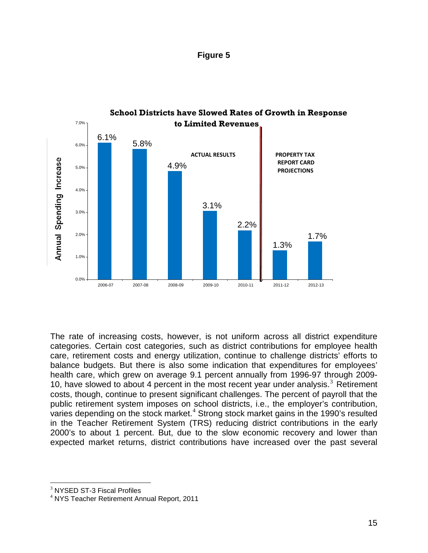| riaure |  |
|--------|--|
|--------|--|



The rate of increasing costs, however, is not uniform across all district expenditure categories. Certain cost categories, such as district contributions for employee health care, retirement costs and energy utilization, continue to challenge districts' efforts to balance budgets. But there is also some indication that expenditures for employees' health care, which grew on average 9.1 percent annually from 1996-97 through 2009- 10, have slowed to about 4 percent in the most recent year under analysis. $3$  Retirement costs, though, continue to present significant challenges. The percent of payroll that the public retirement system imposes on school districts, i.e., the employer's contribution, varies depending on the stock market. $4$  Strong stock market gains in the 1990's resulted in the Teacher Retirement System (TRS) reducing district contributions in the early 2000's to about 1 percent. But, due to the slow economic recovery and lower than expected market returns, district contributions have increased over the past several

<span id="page-14-0"></span><sup>&</sup>lt;sup>3</sup> NYSED ST-3 Fiscal Profiles

<span id="page-14-1"></span><sup>4</sup> NYS Teacher Retirement Annual Report, 2011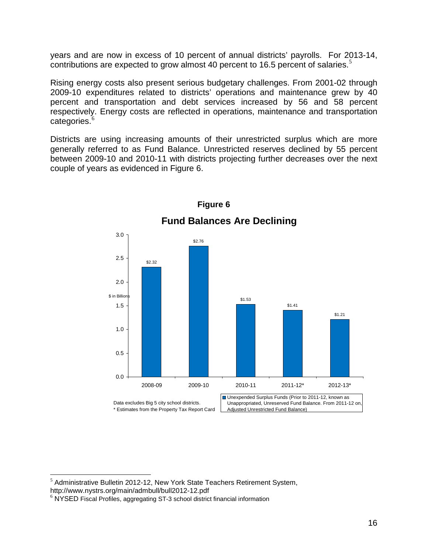years and are now in excess of 10 percent of annual districts' payrolls. For 2013-14, contributions are expected to grow almost 40 percent to 16.[5](#page-15-0) percent of salaries.<sup>5</sup>

Rising energy costs also present serious budgetary challenges. From 2001-02 through 2009-10 expenditures related to districts' operations and maintenance grew by 40 percent and transportation and debt services increased by 56 and 58 percent respectively. Energy costs are reflected in operations, maintenance and transportation categories.<sup>[6](#page-15-1)</sup>

Districts are using increasing amounts of their unrestricted surplus which are more generally referred to as Fund Balance. Unrestricted reserves declined by 55 percent between 2009-10 and 2010-11 with districts projecting further decreases over the next couple of years as evidenced in Figure 6.



**Figure 6**

<span id="page-15-0"></span> $<sup>5</sup>$  Administrative Bulletin 2012-12, New York State Teachers Retirement System,</sup> http://www.nystrs.org/main/admbull/bull2012-12.pdf<br><sup>6</sup> NYSED Fiscal Profiles, aggregating ST-3 school district financial information

<span id="page-15-1"></span>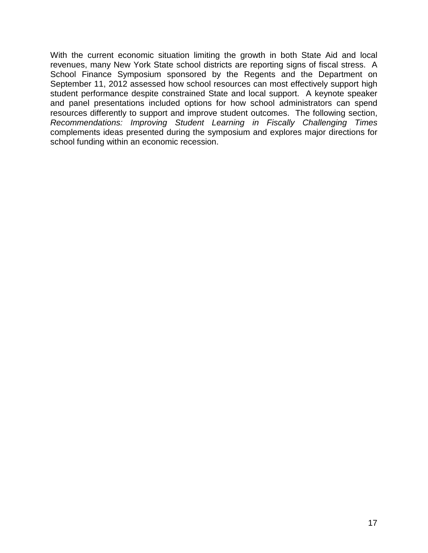With the current economic situation limiting the growth in both State Aid and local revenues, many New York State school districts are reporting signs of fiscal stress. A School Finance Symposium sponsored by the Regents and the Department on September 11, 2012 assessed how school resources can most effectively support high student performance despite constrained State and local support. A keynote speaker and panel presentations included options for how school administrators can spend resources differently to support and improve student outcomes. The following section, *Recommendations: Improving Student Learning in Fiscally Challenging Times* complements ideas presented during the symposium and explores major directions for school funding within an economic recession.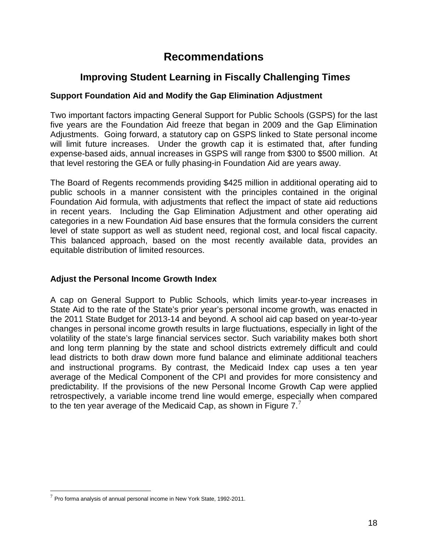# **Recommendations**

## **Improving Student Learning in Fiscally Challenging Time***s*

### **Support Foundation Aid and Modify the Gap Elimination Adjustment**

Two important factors impacting General Support for Public Schools (GSPS) for the last five years are the Foundation Aid freeze that began in 2009 and the Gap Elimination Adjustments. Going forward, a statutory cap on GSPS linked to State personal income will limit future increases. Under the growth cap it is estimated that, after funding expense-based aids, annual increases in GSPS will range from \$300 to \$500 million. At that level restoring the GEA or fully phasing-in Foundation Aid are years away.

The Board of Regents recommends providing \$425 million in additional operating aid to public schools in a manner consistent with the principles contained in the original Foundation Aid formula, with adjustments that reflect the impact of state aid reductions in recent years. Including the Gap Elimination Adjustment and other operating aid categories in a new Foundation Aid base ensures that the formula considers the current level of state support as well as student need, regional cost, and local fiscal capacity. This balanced approach, based on the most recently available data, provides an equitable distribution of limited resources.

#### **Adjust the Personal Income Growth Index**

A cap on General Support to Public Schools, which limits year-to-year increases in State Aid to the rate of the State's prior year's personal income growth, was enacted in the 2011 State Budget for 2013-14 and beyond. A school aid cap based on year-to-year changes in personal income growth results in large fluctuations, especially in light of the volatility of the state's large financial services sector. Such variability makes both short and long term planning by the state and school districts extremely difficult and could lead districts to both draw down more fund balance and eliminate additional teachers and instructional programs. By contrast, the Medicaid Index cap uses a ten year average of the Medical Component of the CPI and provides for more consistency and predictability. If the provisions of the new Personal Income Growth Cap were applied retrospectively, a variable income trend line would emerge, especially when compared to the ten year average of the Medicaid Cap, as shown in Figure [7](#page-17-0). $^7$ 

<span id="page-17-0"></span> $7$  Pro forma analysis of annual personal income in New York State, 1992-2011.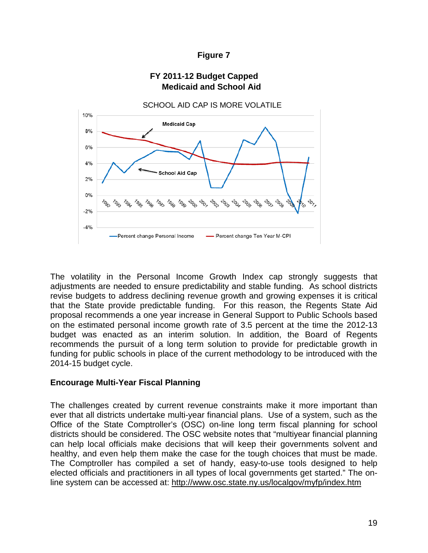#### **Figure 7**

## **FY 2011-12 Budget Capped Medicaid and School Aid**



The volatility in the Personal Income Growth Index cap strongly suggests that adjustments are needed to ensure predictability and stable funding. As school districts revise budgets to address declining revenue growth and growing expenses it is critical that the State provide predictable funding. For this reason, the Regents State Aid proposal recommends a one year increase in General Support to Public Schools based on the estimated personal income growth rate of 3.5 percent at the time the 2012-13 budget was enacted as an interim solution. In addition, the Board of Regents recommends the pursuit of a long term solution to provide for predictable growth in funding for public schools in place of the current methodology to be introduced with the 2014-15 budget cycle.

#### **Encourage Multi-Year Fiscal Planning**

The challenges created by current revenue constraints make it more important than ever that all districts undertake multi-year financial plans. Use of a system, such as the Office of the State Comptroller's (OSC) on-line long term fiscal planning for school districts should be considered. The OSC website notes that "multiyear financial planning can help local officials make decisions that will keep their governments solvent and healthy, and even help them make the case for the tough choices that must be made. The Comptroller has compiled a set of handy, easy-to-use tools designed to help elected officials and practitioners in all types of local governments get started." The online system can be accessed at:<http://www.osc.state.ny.us/localgov/myfp/index.htm>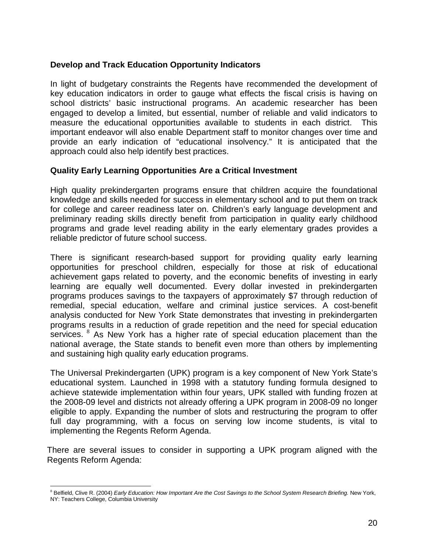### **Develop and Track Education Opportunity Indicators**

In light of budgetary constraints the Regents have recommended the development of key education indicators in order to gauge what effects the fiscal crisis is having on school districts' basic instructional programs. An academic researcher has been engaged to develop a limited, but essential, number of reliable and valid indicators to measure the educational opportunities available to students in each district. This important endeavor will also enable Department staff to monitor changes over time and provide an early indication of "educational insolvency." It is anticipated that the approach could also help identify best practices.

#### **Quality Early Learning Opportunities Are a Critical Investment**

High quality prekindergarten programs ensure that children acquire the foundational knowledge and skills needed for success in elementary school and to put them on track for college and career readiness later on. Children's early language development and preliminary reading skills directly benefit from participation in quality early childhood programs and grade level reading ability in the early elementary grades provides a reliable predictor of future school success.

There is significant research-based support for providing quality early learning opportunities for preschool children, especially for those at risk of educational achievement gaps related to poverty, and the economic benefits of investing in early learning are equally well documented. Every dollar invested in prekindergarten programs produces savings to the taxpayers of approximately \$7 through reduction of remedial, special education, welfare and criminal justice services. A cost-benefit analysis conducted for New York State demonstrates that investing in prekindergarten programs results in a reduction of grade repetition and the need for special education services.  $8$  As New York has a higher rate of special education placement than the national average, the State stands to benefit even more than others by implementing and sustaining high quality early education programs.

The Universal Prekindergarten (UPK) program is a key component of New York State's educational system. Launched in 1998 with a statutory funding formula designed to achieve statewide implementation within four years, UPK stalled with funding frozen at the 2008-09 level and districts not already offering a UPK program in 2008-09 no longer eligible to apply. Expanding the number of slots and restructuring the program to offer full day programming, with a focus on serving low income students, is vital to implementing the Regents Reform Agenda.

There are several issues to consider in supporting a UPK program aligned with the Regents Reform Agenda:

<span id="page-19-0"></span><sup>&</sup>lt;sup>8</sup> Belfield, Clive R. (2004) *Early Education: How Important Are the Cost Savings to the School System Research Briefing. New York,* NY: Teachers College, Columbia University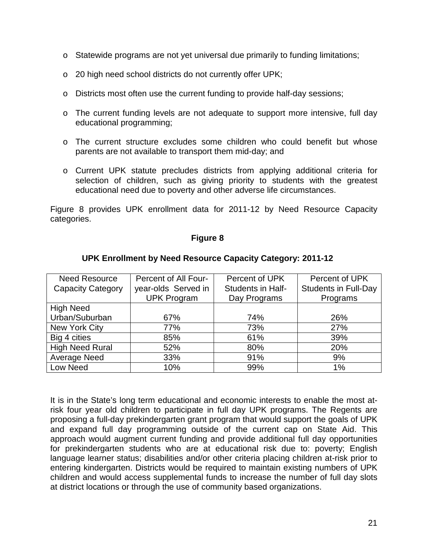- $\circ$  Statewide programs are not yet universal due primarily to funding limitations;
- o 20 high need school districts do not currently offer UPK;
- o Districts most often use the current funding to provide half-day sessions;
- o The current funding levels are not adequate to support more intensive, full day educational programming;
- o The current structure excludes some children who could benefit but whose parents are not available to transport them mid-day; and
- o Current UPK statute precludes districts from applying additional criteria for selection of children, such as giving priority to students with the greatest educational need due to poverty and other adverse life circumstances.

Figure 8 provides UPK enrollment data for 2011-12 by Need Resource Capacity categories.

#### **Figure 8**

| <b>Need Resource</b>     | Percent of All Four- | Percent of UPK    | Percent of UPK              |
|--------------------------|----------------------|-------------------|-----------------------------|
| <b>Capacity Category</b> | year-olds Served in  | Students in Half- | <b>Students in Full-Day</b> |
|                          | <b>UPK Program</b>   | Day Programs      | Programs                    |
| <b>High Need</b>         |                      |                   |                             |
| Urban/Suburban           | 67%                  | 74%               | 26%                         |
| New York City            | 77%                  | 73%               | 27%                         |
| Big 4 cities             | 85%                  | 61%               | 39%                         |
| <b>High Need Rural</b>   | 52%                  | 80%               | 20%                         |
| Average Need             | 33%                  | 91%               | 9%                          |
| Low Need                 | 10%                  | 99%               | 1%                          |

#### **UPK Enrollment by Need Resource Capacity Category: 2011-12**

It is in the State's long term educational and economic interests to enable the most atrisk four year old children to participate in full day UPK programs. The Regents are proposing a full-day prekindergarten grant program that would support the goals of UPK and expand full day programming outside of the current cap on State Aid. This approach would augment current funding and provide additional full day opportunities for prekindergarten students who are at educational risk due to: poverty; English language learner status; disabilities and/or other criteria placing children at-risk prior to entering kindergarten. Districts would be required to maintain existing numbers of UPK children and would access supplemental funds to increase the number of full day slots at district locations or through the use of community based organizations.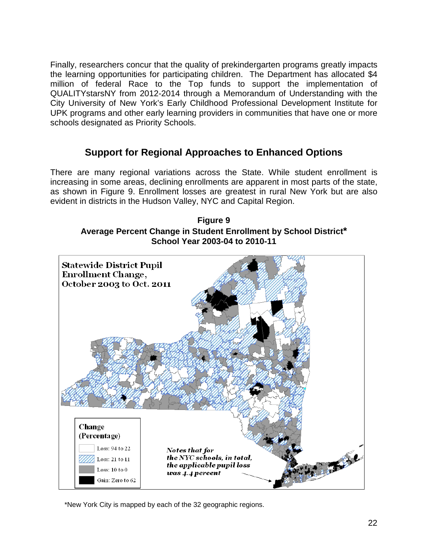Finally, researchers concur that the quality of prekindergarten programs greatly impacts the learning opportunities for participating children. The Department has allocated \$4 million of federal Race to the Top funds to support the implementation of QUALITYstarsNY from 2012-2014 through a Memorandum of Understanding with the City University of New York's Early Childhood Professional Development Institute for UPK programs and other early learning providers in communities that have one or more schools designated as Priority Schools.

## **Support for Regional Approaches to Enhanced Options**

There are many regional variations across the State. While student enrollment is increasing in some areas, declining enrollments are apparent in most parts of the state, as shown in Figure 9. Enrollment losses are greatest in rural New York but are also evident in districts in the Hudson Valley, NYC and Capital Region.





\*New York City is mapped by each of the 32 geographic regions.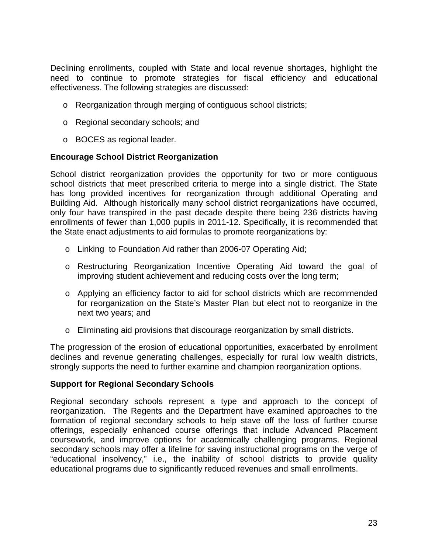Declining enrollments, coupled with State and local revenue shortages, highlight the need to continue to promote strategies for fiscal efficiency and educational effectiveness. The following strategies are discussed:

- o Reorganization through merging of contiguous school districts;
- o Regional secondary schools; and
- o BOCES as regional leader.

#### **Encourage School District Reorganization**

School district reorganization provides the opportunity for two or more contiguous school districts that meet prescribed criteria to merge into a single district. The State has long provided incentives for reorganization through additional Operating and Building Aid. Although historically many school district reorganizations have occurred, only four have transpired in the past decade despite there being 236 districts having enrollments of fewer than 1,000 pupils in 2011-12. Specifically, it is recommended that the State enact adjustments to aid formulas to promote reorganizations by:

- o Linking to Foundation Aid rather than 2006-07 Operating Aid;
- o Restructuring Reorganization Incentive Operating Aid toward the goal of improving student achievement and reducing costs over the long term;
- o Applying an efficiency factor to aid for school districts which are recommended for reorganization on the State's Master Plan but elect not to reorganize in the next two years; and
- o Eliminating aid provisions that discourage reorganization by small districts.

The progression of the erosion of educational opportunities, exacerbated by enrollment declines and revenue generating challenges, especially for rural low wealth districts, strongly supports the need to further examine and champion reorganization options.

#### **Support for Regional Secondary Schools**

Regional secondary schools represent a type and approach to the concept of reorganization. The Regents and the Department have examined approaches to the formation of regional secondary schools to help stave off the loss of further course offerings, especially enhanced course offerings that include Advanced Placement coursework, and improve options for academically challenging programs. Regional secondary schools may offer a lifeline for saving instructional programs on the verge of "educational insolvency," i.e., the inability of school districts to provide quality educational programs due to significantly reduced revenues and small enrollments.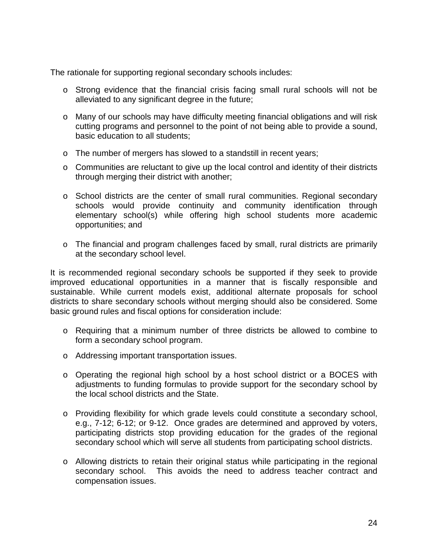The rationale for supporting regional secondary schools includes:

- o Strong evidence that the financial crisis facing small rural schools will not be alleviated to any significant degree in the future;
- o Many of our schools may have difficulty meeting financial obligations and will risk cutting programs and personnel to the point of not being able to provide a sound, basic education to all students;
- o The number of mergers has slowed to a standstill in recent years;
- o Communities are reluctant to give up the local control and identity of their districts through merging their district with another;
- o School districts are the center of small rural communities. Regional secondary schools would provide continuity and community identification through elementary school(s) while offering high school students more academic opportunities; and
- o The financial and program challenges faced by small, rural districts are primarily at the secondary school level.

It is recommended regional secondary schools be supported if they seek to provide improved educational opportunities in a manner that is fiscally responsible and sustainable. While current models exist, additional alternate proposals for school districts to share secondary schools without merging should also be considered. Some basic ground rules and fiscal options for consideration include:

- o Requiring that a minimum number of three districts be allowed to combine to form a secondary school program.
- o Addressing important transportation issues.
- o Operating the regional high school by a host school district or a BOCES with adjustments to funding formulas to provide support for the secondary school by the local school districts and the State.
- o Providing flexibility for which grade levels could constitute a secondary school, e.g., 7-12; 6-12; or 9-12. Once grades are determined and approved by voters, participating districts stop providing education for the grades of the regional secondary school which will serve all students from participating school districts.
- o Allowing districts to retain their original status while participating in the regional secondary school. This avoids the need to address teacher contract and compensation issues.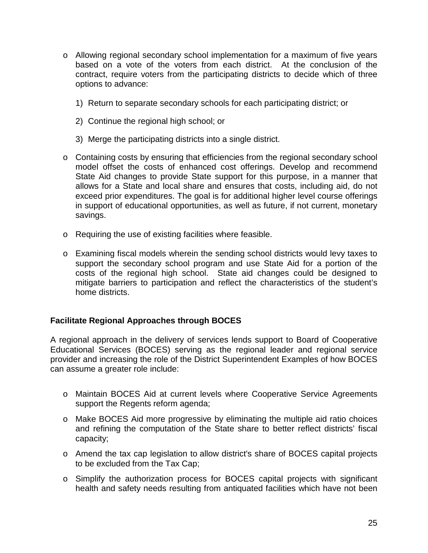- o Allowing regional secondary school implementation for a maximum of five years based on a vote of the voters from each district. At the conclusion of the contract, require voters from the participating districts to decide which of three options to advance:
	- 1) Return to separate secondary schools for each participating district; or
	- 2) Continue the regional high school; or
	- 3) Merge the participating districts into a single district.
- o Containing costs by ensuring that efficiencies from the regional secondary school model offset the costs of enhanced cost offerings. Develop and recommend State Aid changes to provide State support for this purpose, in a manner that allows for a State and local share and ensures that costs, including aid, do not exceed prior expenditures. The goal is for additional higher level course offerings in support of educational opportunities, as well as future, if not current, monetary savings.
- o Requiring the use of existing facilities where feasible.
- o Examining fiscal models wherein the sending school districts would levy taxes to support the secondary school program and use State Aid for a portion of the costs of the regional high school. State aid changes could be designed to mitigate barriers to participation and reflect the characteristics of the student's home districts.

## **Facilitate Regional Approaches through BOCES**

A regional approach in the delivery of services lends support to Board of Cooperative Educational Services (BOCES) serving as the regional leader and regional service provider and increasing the role of the District Superintendent Examples of how BOCES can assume a greater role include:

- o Maintain BOCES Aid at current levels where Cooperative Service Agreements support the Regents reform agenda;
- o Make BOCES Aid more progressive by eliminating the multiple aid ratio choices and refining the computation of the State share to better reflect districts' fiscal capacity;
- o Amend the tax cap legislation to allow district's share of BOCES capital projects to be excluded from the Tax Cap;
- o Simplify the authorization process for BOCES capital projects with significant health and safety needs resulting from antiquated facilities which have not been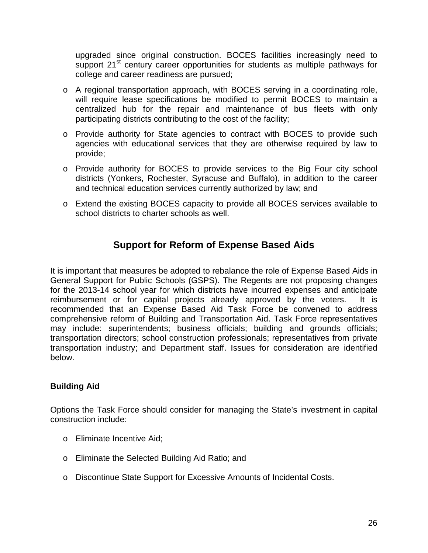upgraded since original construction. BOCES facilities increasingly need to support 21<sup>st</sup> century career opportunities for students as multiple pathways for college and career readiness are pursued;

- o A regional transportation approach, with BOCES serving in a coordinating role, will require lease specifications be modified to permit BOCES to maintain a centralized hub for the repair and maintenance of bus fleets with only participating districts contributing to the cost of the facility;
- o Provide authority for State agencies to contract with BOCES to provide such agencies with educational services that they are otherwise required by law to provide;
- o Provide authority for BOCES to provide services to the Big Four city school districts (Yonkers, Rochester, Syracuse and Buffalo), in addition to the career and technical education services currently authorized by law; and
- o Extend the existing BOCES capacity to provide all BOCES services available to school districts to charter schools as well.

## **Support for Reform of Expense Based Aids**

It is important that measures be adopted to rebalance the role of Expense Based Aids in General Support for Public Schools (GSPS). The Regents are not proposing changes for the 2013-14 school year for which districts have incurred expenses and anticipate reimbursement or for capital projects already approved by the voters. It is recommended that an Expense Based Aid Task Force be convened to address comprehensive reform of Building and Transportation Aid. Task Force representatives may include: superintendents; business officials; building and grounds officials; transportation directors; school construction professionals; representatives from private transportation industry; and Department staff. Issues for consideration are identified below.

## **Building Aid**

Options the Task Force should consider for managing the State's investment in capital construction include:

- o Eliminate Incentive Aid;
- o Eliminate the Selected Building Aid Ratio; and
- o Discontinue State Support for Excessive Amounts of Incidental Costs.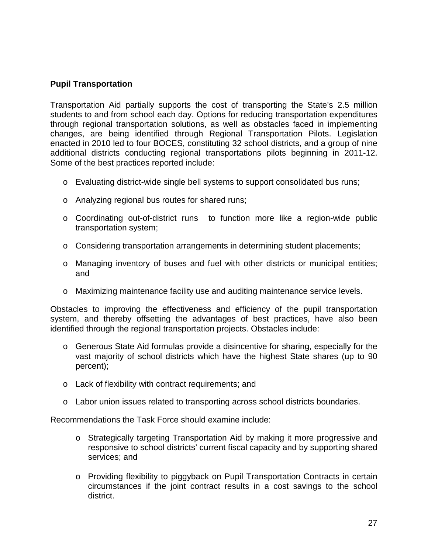#### **Pupil Transportation**

Transportation Aid partially supports the cost of transporting the State's 2.5 million students to and from school each day. Options for reducing transportation expenditures through regional transportation solutions, as well as obstacles faced in implementing changes, are being identified through Regional Transportation Pilots. Legislation enacted in 2010 led to four BOCES, constituting 32 school districts, and a group of nine additional districts conducting regional transportations pilots beginning in 2011-12. Some of the best practices reported include:

- o Evaluating district-wide single bell systems to support consolidated bus runs;
- o Analyzing regional bus routes for shared runs;
- o Coordinating out-of-district runs to function more like a region-wide public transportation system;
- o Considering transportation arrangements in determining student placements;
- o Managing inventory of buses and fuel with other districts or municipal entities; and
- o Maximizing maintenance facility use and auditing maintenance service levels.

Obstacles to improving the effectiveness and efficiency of the pupil transportation system, and thereby offsetting the advantages of best practices, have also been identified through the regional transportation projects. Obstacles include:

- o Generous State Aid formulas provide a disincentive for sharing, especially for the vast majority of school districts which have the highest State shares (up to 90 percent);
- o Lack of flexibility with contract requirements; and
- $\circ$  Labor union issues related to transporting across school districts boundaries.

Recommendations the Task Force should examine include:

- o Strategically targeting Transportation Aid by making it more progressive and responsive to school districts' current fiscal capacity and by supporting shared services; and
- o Providing flexibility to piggyback on Pupil Transportation Contracts in certain circumstances if the joint contract results in a cost savings to the school district.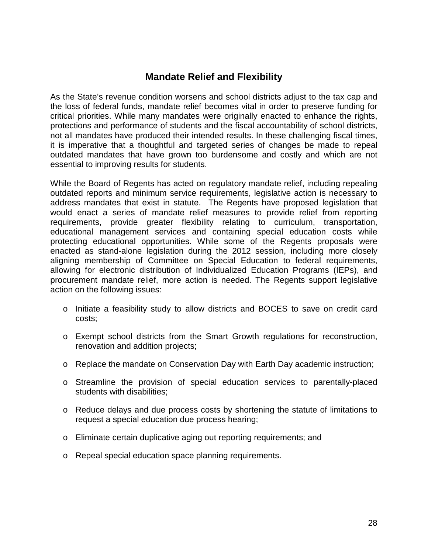## **Mandate Relief and Flexibility**

As the State's revenue condition worsens and school districts adjust to the tax cap and the loss of federal funds, mandate relief becomes vital in order to preserve funding for critical priorities. While many mandates were originally enacted to enhance the rights, protections and performance of students and the fiscal accountability of school districts, not all mandates have produced their intended results. In these challenging fiscal times, it is imperative that a thoughtful and targeted series of changes be made to repeal outdated mandates that have grown too burdensome and costly and which are not essential to improving results for students.

While the Board of Regents has acted on regulatory mandate relief, including repealing outdated reports and minimum service requirements, legislative action is necessary to address mandates that exist in statute. The Regents have proposed legislation that would enact a series of mandate relief measures to provide relief from reporting requirements, provide greater flexibility relating to curriculum, transportation, educational management services and containing special education costs while protecting educational opportunities. While some of the Regents proposals were enacted as stand-alone legislation during the 2012 session, including more closely aligning membership of Committee on Special Education to federal requirements, allowing for electronic distribution of Individualized Education Programs (IEPs), and procurement mandate relief, more action is needed. The Regents support legislative action on the following issues:

- o Initiate a feasibility study to allow districts and BOCES to save on credit card costs;
- o Exempt school districts from the Smart Growth regulations for reconstruction, renovation and addition projects;
- o Replace the mandate on Conservation Day with Earth Day academic instruction;
- o Streamline the provision of special education services to parentally-placed students with disabilities;
- o Reduce delays and due process costs by shortening the statute of limitations to request a special education due process hearing;
- o Eliminate certain duplicative aging out reporting requirements; and
- o Repeal special education space planning requirements.